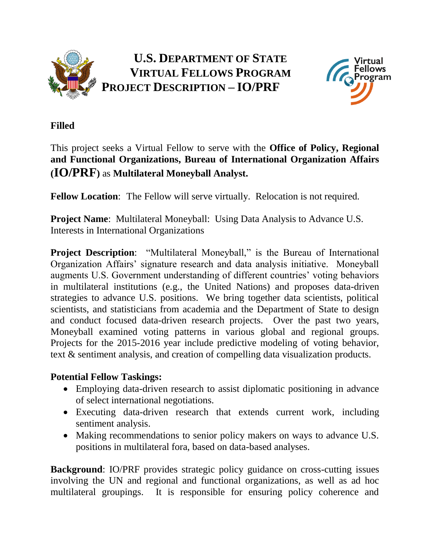

**U.S. DEPARTMENT OF STATE VIRTUAL FELLOWS PROGRAM PROJECT DESCRIPTION – IO/PRF**



## **Filled**

## This project seeks a Virtual Fellow to serve with the **Office of Policy, Regional and Functional Organizations, Bureau of International Organization Affairs (IO/PRF)** as **Multilateral Moneyball Analyst.**

**Fellow Location**: The Fellow will serve virtually. Relocation is not required.

**Project Name**: Multilateral Moneyball: Using Data Analysis to Advance U.S. Interests in International Organizations

**Project Description:** "Multilateral Moneyball," is the Bureau of International Organization Affairs' signature research and data analysis initiative. Moneyball augments U.S. Government understanding of different countries' voting behaviors in multilateral institutions (e.g., the United Nations) and proposes data-driven strategies to advance U.S. positions. We bring together data scientists, political scientists, and statisticians from academia and the Department of State to design and conduct focused data-driven research projects. Over the past two years, Moneyball examined voting patterns in various global and regional groups. Projects for the 2015-2016 year include predictive modeling of voting behavior, text & sentiment analysis, and creation of compelling data visualization products.

## **Potential Fellow Taskings:**

- Employing data-driven research to assist diplomatic positioning in advance of select international negotiations.
- Executing data-driven research that extends current work, including sentiment analysis.
- Making recommendations to senior policy makers on ways to advance U.S. positions in multilateral fora, based on data-based analyses.

**Background**: IO/PRF provides strategic policy guidance on cross-cutting issues involving the UN and regional and functional organizations, as well as ad hoc multilateral groupings. It is responsible for ensuring policy coherence and